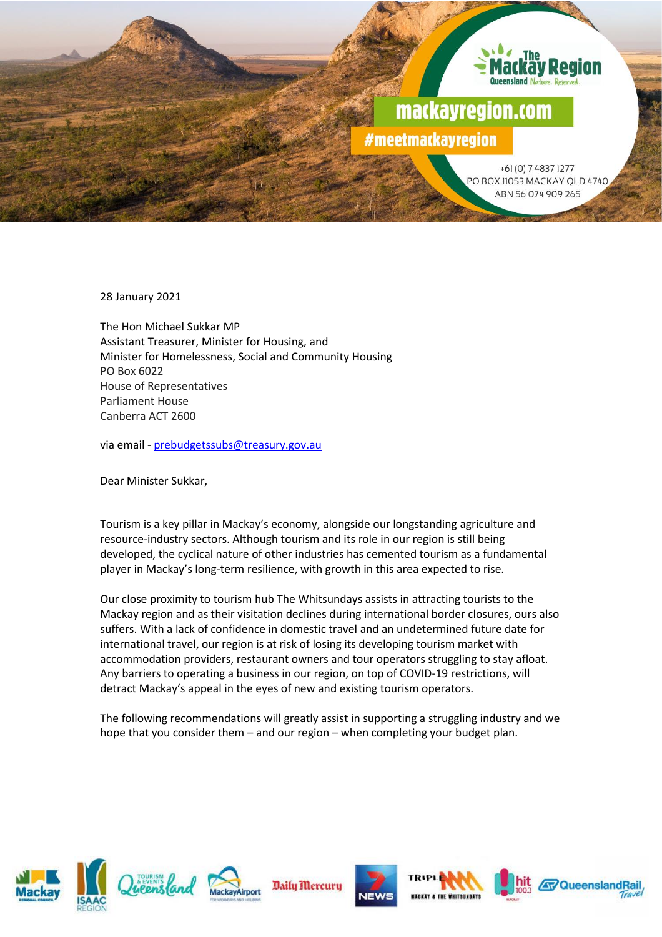

28 January 2021

The Hon Michael Sukkar MP Assistant Treasurer, Minister for Housing, and Minister for Homelessness, Social and Community Housing PO Box 6022 House of Representatives Parliament House Canberra ACT 2600

via email - [prebudgetssubs@treasury.gov.au](mailto:prebudgetssubs@treasury.gov.au)

Dear Minister Sukkar,

Tourism is a key pillar in Mackay's economy, alongside our longstanding agriculture and resource-industry sectors. Although tourism and its role in our region is still being developed, the cyclical nature of other industries has cemented tourism as a fundamental player in Mackay's long-term resilience, with growth in this area expected to rise.

Our close proximity to tourism hub The Whitsundays assists in attracting tourists to the Mackay region and as their visitation declines during international border closures, ours also suffers. With a lack of confidence in domestic travel and an undetermined future date for international travel, our region is at risk of losing its developing tourism market with accommodation providers, restaurant owners and tour operators struggling to stay afloat. Any barriers to operating a business in our region, on top of COVID-19 restrictions, will detract Mackay's appeal in the eyes of new and existing tourism operators.

The following recommendations will greatly assist in supporting a struggling industry and we hope that you consider them – and our region – when completing your budget plan.









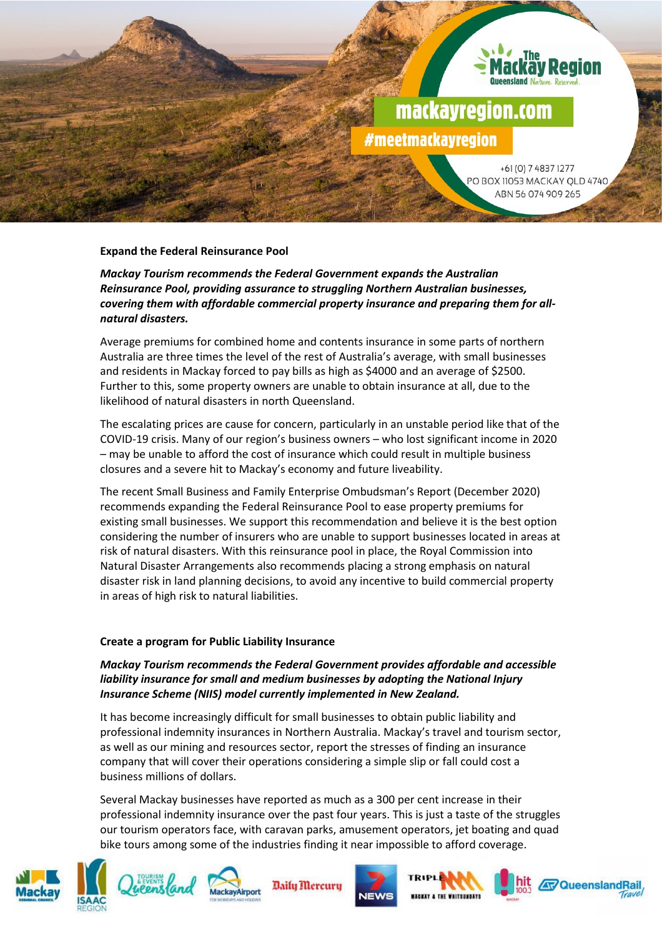

## **Expand the Federal Reinsurance Pool**

*Mackay Tourism recommends the Federal Government expands the Australian Reinsurance Pool, providing assurance to struggling Northern Australian businesses, covering them with affordable commercial property insurance and preparing them for allnatural disasters.*

Average premiums for combined home and contents insurance in some parts of northern Australia are three times the level of the rest of Australia's average, with small businesses and residents in Mackay forced to pay bills as high as \$4000 and an average of \$2500. Further to this, some property owners are unable to obtain insurance at all, due to the likelihood of natural disasters in north Queensland.

The escalating prices are cause for concern, particularly in an unstable period like that of the COVID-19 crisis. Many of our region's business owners – who lost significant income in 2020 – may be unable to afford the cost of insurance which could result in multiple business closures and a severe hit to Mackay's economy and future liveability.

The recent Small Business and Family Enterprise Ombudsman's Report (December 2020) recommends expanding the Federal Reinsurance Pool to ease property premiums for existing small businesses. We support this recommendation and believe it is the best option considering the number of insurers who are unable to support businesses located in areas at risk of natural disasters. With this reinsurance pool in place, the Royal Commission into Natural Disaster Arrangements also recommends placing a strong emphasis on natural disaster risk in land planning decisions, to avoid any incentive to build commercial property in areas of high risk to natural liabilities.

### **Create a program for Public Liability Insurance**

*Mackay Tourism recommends the Federal Government provides affordable and accessible liability insurance for small and medium businesses by adopting the National Injury Insurance Scheme (NIIS) model currently implemented in New Zealand.*

It has become increasingly difficult for small businesses to obtain public liability and professional indemnity insurances in Northern Australia. Mackay's travel and tourism sector, as well as our mining and resources sector, report the stresses of finding an insurance company that will cover their operations considering a simple slip or fall could cost a business millions of dollars.

Several Mackay businesses have reported as much as a 300 per cent increase in their professional indemnity insurance over the past four years. This is just a taste of the struggles our tourism operators face, with caravan parks, amusement operators, jet boating and quad bike tours among some of the industries finding it near impossible to afford coverage.









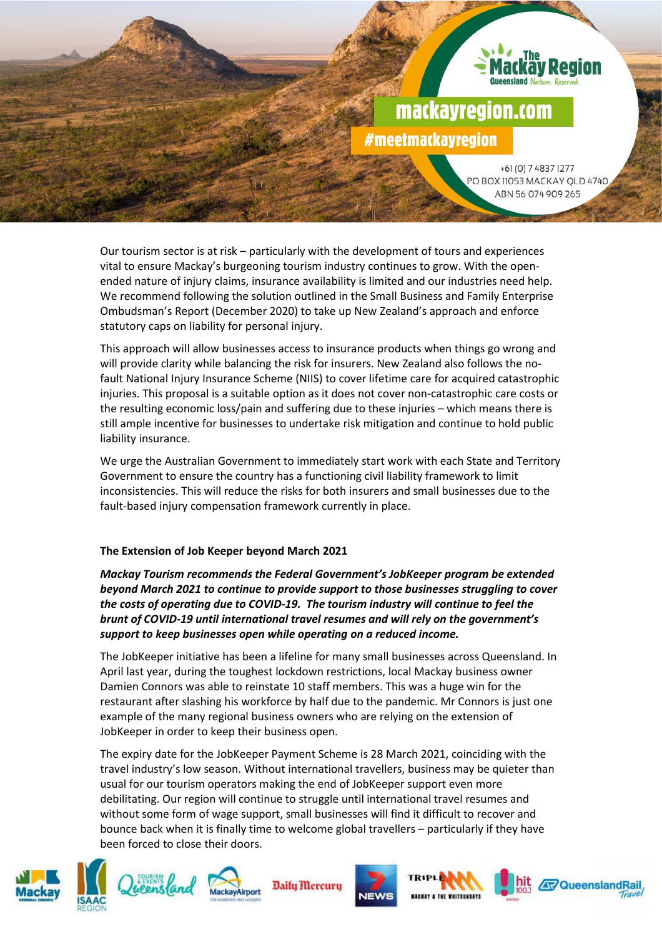# mackayregion.com #meetmackayregion

+61 (0) 7 4837 1277 PO BOX 11053 MACKAY QLD 4740 ABN 56 074 909 265

Our tourism sector is at risk – particularly with the development of tours and experiences vital to ensure Mackay's burgeoning tourism industry continues to grow. With the openended nature of injury claims, insurance availability is limited and our industries need help. We recommend following the solution outlined in the Small Business and Family Enterprise Ombudsman's Report (December 2020) to take up New Zealand's approach and enforce statutory caps on liability for personal injury.

This approach will allow businesses access to insurance products when things go wrong and will provide clarity while balancing the risk for insurers. New Zealand also follows the nofault National Injury Insurance Scheme (NIIS) to cover lifetime care for acquired catastrophic injuries. This proposal is a suitable option as it does not cover non-catastrophic care costs or the resulting economic loss/pain and suffering due to these injuries – which means there is still ample incentive for businesses to undertake risk mitigation and continue to hold public liability insurance.

We urge the Australian Government to immediately start work with each State and Territory Government to ensure the country has a functioning civil liability framework to limit inconsistencies. This will reduce the risks for both insurers and small businesses due to the fault-based injury compensation framework currently in place.

## **The Extension of Job Keeper beyond March 2021**

*Mackay Tourism recommends the Federal Government's JobKeeper program be extended beyond March 2021 to continue to provide support to those businesses struggling to cover the costs of operating due to COVID-19. The tourism industry will continue to feel the brunt of COVID-19 until international travel resumes and will rely on the government's support to keep businesses open while operating on a reduced income.* 

The JobKeeper initiative has been a lifeline for many small businesses across Queensland. In April last year, during the toughest lockdown restrictions, local Mackay business owner Damien Connors was able to reinstate 10 staff members. This was a huge win for the restaurant after slashing his workforce by half due to the pandemic. Mr Connors is just one example of the many regional business owners who are relying on the extension of JobKeeper in order to keep their business open.

The expiry date for the JobKeeper Payment Scheme is 28 March 2021, coinciding with the travel industry's low season. Without international travellers, business may be quieter than usual for our tourism operators making the end of JobKeeper support even more debilitating. Our region will continue to struggle until international travel resumes and without some form of wage support, small businesses will find it difficult to recover and bounce back when it is finally time to welcome global travellers – particularly if they have been forced to close their doors.